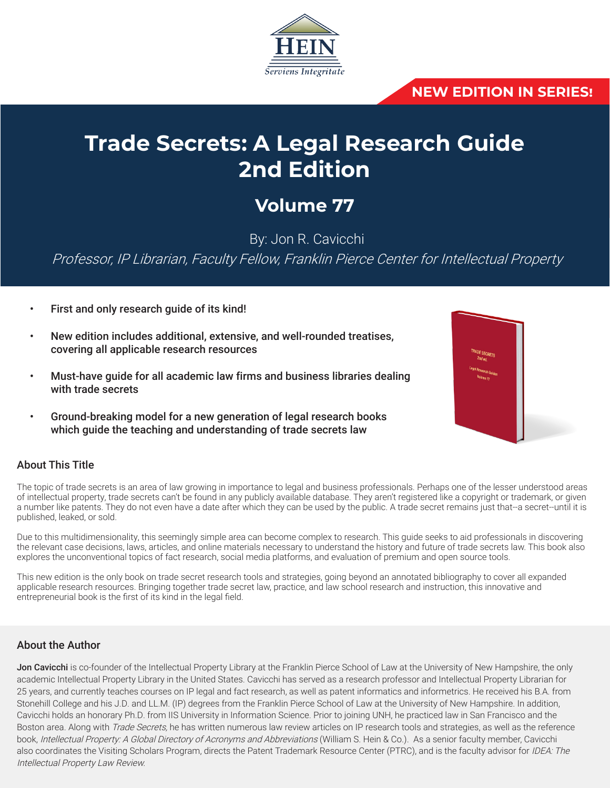

## **NEW EDITION IN SERIES!**

# **Trade Secrets: A Legal Research Guide 2nd Edition**

# **Volume 77**

By: Jon R. Cavicchi

Professor, IP Librarian, Faculty Fellow, Franklin Pierce Center for Intellectual Property

- First and only research quide of its kind!
- New edition includes additional, extensive, and well-rounded treatises, covering all applicable research resources
- Must-have guide for all academic law firms and business libraries dealing with trade secrets
- Ground-breaking model for a new generation of legal research books which guide the teaching and understanding of trade secrets law

## About This Title

The topic of trade secrets is an area of law growing in importance to legal and business professionals. Perhaps one of the lesser understood areas of intellectual property, trade secrets can't be found in any publicly available database. They aren't registered like a copyright or trademark, or given a number like patents. They do not even have a date after which they can be used by the public. A trade secret remains just that--a secret--until it is published, leaked, or sold.

Due to this multidimensionality, this seemingly simple area can become complex to research. This guide seeks to aid professionals in discovering the relevant case decisions, laws, articles, and online materials necessary to understand the history and future of trade secrets law. This book also explores the unconventional topics of fact research, social media platforms, and evaluation of premium and open source tools.

This new edition is the only book on trade secret research tools and strategies, going beyond an annotated bibliography to cover all expanded applicable research resources. Bringing together trade secret law, practice, and law school research and instruction, this innovative and entrepreneurial book is the first of its kind in the legal field.

### About the Author

Jon Cavicchi is co-founder of the Intellectual Property Library at the Franklin Pierce School of Law at the University of New Hampshire, the only academic Intellectual Property Library in the United States. Cavicchi has served as a research professor and Intellectual Property Librarian for 25 years, and currently teaches courses on IP legal and fact research, as well as patent informatics and informetrics. He received his B.A. from Stonehill College and his J.D. and LL.M. (IP) degrees from the Franklin Pierce School of Law at the University of New Hampshire. In addition, Cavicchi holds an honorary Ph.D. from IIS University in Information Science. Prior to joining UNH, he practiced law in San Francisco and the Boston area. Along with Trade Secrets, he has written numerous law review articles on IP research tools and strategies, as well as the reference book, Intellectual Property: A Global Directory of Acronyms and Abbreviations (William S. Hein & Co.). As a senior faculty member, Cavicchi also coordinates the Visiting Scholars Program, directs the Patent Trademark Resource Center (PTRC), and is the faculty advisor for IDEA: The Intellectual Property Law Review.